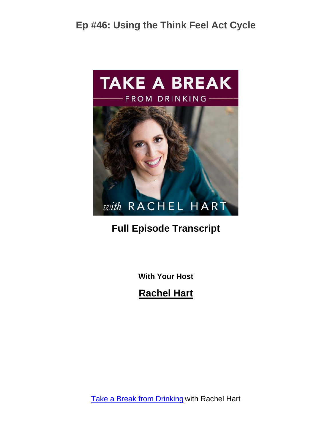

#### **Full Episode Transcript**

**With Your Host**

**Rachel Hart**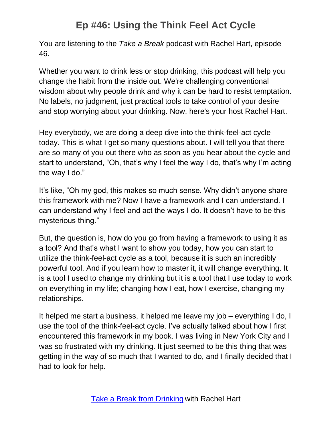You are listening to the *Take a Break* podcast with Rachel Hart, episode 46.

Whether you want to drink less or stop drinking, this podcast will help you change the habit from the inside out. We're challenging conventional wisdom about why people drink and why it can be hard to resist temptation. No labels, no judgment, just practical tools to take control of your desire and stop worrying about your drinking. Now, here's your host Rachel Hart.

Hey everybody, we are doing a deep dive into the think-feel-act cycle today. This is what I get so many questions about. I will tell you that there are so many of you out there who as soon as you hear about the cycle and start to understand, "Oh, that's why I feel the way I do, that's why I'm acting the way I do."

It's like, "Oh my god, this makes so much sense. Why didn't anyone share this framework with me? Now I have a framework and I can understand. I can understand why I feel and act the ways I do. It doesn't have to be this mysterious thing."

But, the question is, how do you go from having a framework to using it as a tool? And that's what I want to show you today, how you can start to utilize the think-feel-act cycle as a tool, because it is such an incredibly powerful tool. And if you learn how to master it, it will change everything. It is a tool I used to change my drinking but it is a tool that I use today to work on everything in my life; changing how I eat, how I exercise, changing my relationships.

It helped me start a business, it helped me leave my job – everything I do, I use the tool of the think-feel-act cycle. I've actually talked about how I first encountered this framework in my book. I was living in New York City and I was so frustrated with my drinking. It just seemed to be this thing that was getting in the way of so much that I wanted to do, and I finally decided that I had to look for help.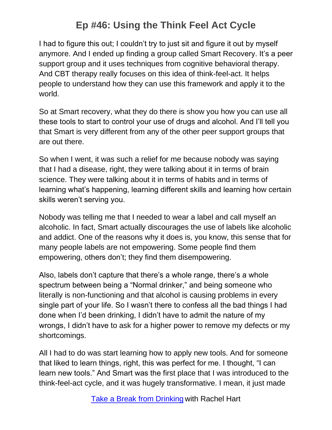I had to figure this out; I couldn't try to just sit and figure it out by myself anymore. And I ended up finding a group called Smart Recovery. It's a peer support group and it uses techniques from cognitive behavioral therapy. And CBT therapy really focuses on this idea of think-feel-act. It helps people to understand how they can use this framework and apply it to the world.

So at Smart recovery, what they do there is show you how you can use all these tools to start to control your use of drugs and alcohol. And I'll tell you that Smart is very different from any of the other peer support groups that are out there.

So when I went, it was such a relief for me because nobody was saying that I had a disease, right, they were talking about it in terms of brain science. They were talking about it in terms of habits and in terms of learning what's happening, learning different skills and learning how certain skills weren't serving you.

Nobody was telling me that I needed to wear a label and call myself an alcoholic. In fact, Smart actually discourages the use of labels like alcoholic and addict. One of the reasons why it does is, you know, this sense that for many people labels are not empowering. Some people find them empowering, others don't; they find them disempowering.

Also, labels don't capture that there's a whole range, there's a whole spectrum between being a "Normal drinker," and being someone who literally is non-functioning and that alcohol is causing problems in every single part of your life. So I wasn't there to confess all the bad things I had done when I'd been drinking, I didn't have to admit the nature of my wrongs, I didn't have to ask for a higher power to remove my defects or my shortcomings.

All I had to do was start learning how to apply new tools. And for someone that liked to learn things, right, this was perfect for me. I thought, "I can learn new tools." And Smart was the first place that I was introduced to the think-feel-act cycle, and it was hugely transformative. I mean, it just made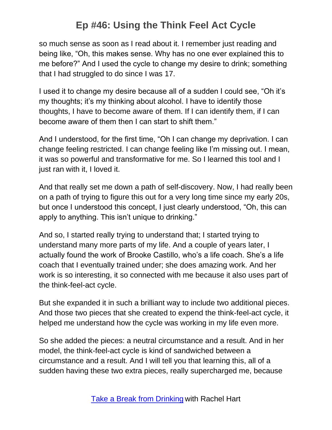so much sense as soon as I read about it. I remember just reading and being like, "Oh, this makes sense. Why has no one ever explained this to me before?" And I used the cycle to change my desire to drink; something that I had struggled to do since I was 17.

I used it to change my desire because all of a sudden I could see, "Oh it's my thoughts; it's my thinking about alcohol. I have to identify those thoughts, I have to become aware of them. If I can identify them, if I can become aware of them then I can start to shift them."

And I understood, for the first time, "Oh I can change my deprivation. I can change feeling restricted. I can change feeling like I'm missing out. I mean, it was so powerful and transformative for me. So I learned this tool and I just ran with it, I loved it.

And that really set me down a path of self-discovery. Now, I had really been on a path of trying to figure this out for a very long time since my early 20s, but once I understood this concept, I just clearly understood, "Oh, this can apply to anything. This isn't unique to drinking."

And so, I started really trying to understand that; I started trying to understand many more parts of my life. And a couple of years later, I actually found the work of Brooke Castillo, who's a life coach. She's a life coach that I eventually trained under; she does amazing work. And her work is so interesting, it so connected with me because it also uses part of the think-feel-act cycle.

But she expanded it in such a brilliant way to include two additional pieces. And those two pieces that she created to expend the think-feel-act cycle, it helped me understand how the cycle was working in my life even more.

So she added the pieces: a neutral circumstance and a result. And in her model, the think-feel-act cycle is kind of sandwiched between a circumstance and a result. And I will tell you that learning this, all of a sudden having these two extra pieces, really supercharged me, because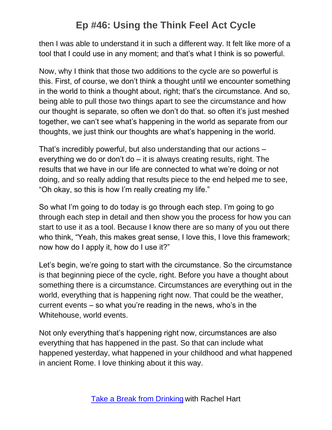then I was able to understand it in such a different way. It felt like more of a tool that I could use in any moment; and that's what I think is so powerful.

Now, why I think that those two additions to the cycle are so powerful is this. First, of course, we don't think a thought until we encounter something in the world to think a thought about, right; that's the circumstance. And so, being able to pull those two things apart to see the circumstance and how our thought is separate, so often we don't do that. so often it's just meshed together, we can't see what's happening in the world as separate from our thoughts, we just think our thoughts are what's happening in the world.

That's incredibly powerful, but also understanding that our actions – everything we do or don't do – it is always creating results, right. The results that we have in our life are connected to what we're doing or not doing, and so really adding that results piece to the end helped me to see, "Oh okay, so this is how I'm really creating my life."

So what I'm going to do today is go through each step. I'm going to go through each step in detail and then show you the process for how you can start to use it as a tool. Because I know there are so many of you out there who think, "Yeah, this makes great sense, I love this, I love this framework; now how do I apply it, how do I use it?"

Let's begin, we're going to start with the circumstance. So the circumstance is that beginning piece of the cycle, right. Before you have a thought about something there is a circumstance. Circumstances are everything out in the world, everything that is happening right now. That could be the weather, current events – so what you're reading in the news, who's in the Whitehouse, world events.

Not only everything that's happening right now, circumstances are also everything that has happened in the past. So that can include what happened yesterday, what happened in your childhood and what happened in ancient Rome. I love thinking about it this way.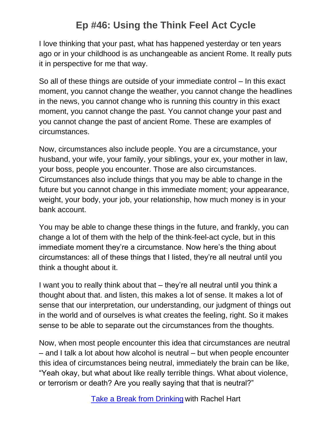I love thinking that your past, what has happened yesterday or ten years ago or in your childhood is as unchangeable as ancient Rome. It really puts it in perspective for me that way.

So all of these things are outside of your immediate control – In this exact moment, you cannot change the weather, you cannot change the headlines in the news, you cannot change who is running this country in this exact moment, you cannot change the past. You cannot change your past and you cannot change the past of ancient Rome. These are examples of circumstances.

Now, circumstances also include people. You are a circumstance, your husband, your wife, your family, your siblings, your ex, your mother in law, your boss, people you encounter. Those are also circumstances. Circumstances also include things that you may be able to change in the future but you cannot change in this immediate moment; your appearance, weight, your body, your job, your relationship, how much money is in your bank account.

You may be able to change these things in the future, and frankly, you can change a lot of them with the help of the think-feel-act cycle, but in this immediate moment they're a circumstance. Now here's the thing about circumstances: all of these things that I listed, they're all neutral until you think a thought about it.

I want you to really think about that – they're all neutral until you think a thought about that. and listen, this makes a lot of sense. It makes a lot of sense that our interpretation, our understanding, our judgment of things out in the world and of ourselves is what creates the feeling, right. So it makes sense to be able to separate out the circumstances from the thoughts.

Now, when most people encounter this idea that circumstances are neutral – and I talk a lot about how alcohol is neutral – but when people encounter this idea of circumstances being neutral, immediately the brain can be like, "Yeah okay, but what about like really terrible things. What about violence, or terrorism or death? Are you really saying that that is neutral?"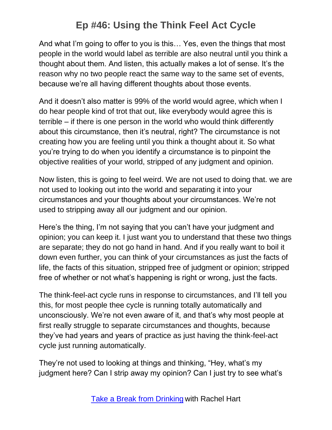And what I'm going to offer to you is this… Yes, even the things that most people in the world would label as terrible are also neutral until you think a thought about them. And listen, this actually makes a lot of sense. It's the reason why no two people react the same way to the same set of events, because we're all having different thoughts about those events.

And it doesn't also matter is 99% of the world would agree, which when I do hear people kind of trot that out, like everybody would agree this is terrible – if there is one person in the world who would think differently about this circumstance, then it's neutral, right? The circumstance is not creating how you are feeling until you think a thought about it. So what you're trying to do when you identify a circumstance is to pinpoint the objective realities of your world, stripped of any judgment and opinion.

Now listen, this is going to feel weird. We are not used to doing that. we are not used to looking out into the world and separating it into your circumstances and your thoughts about your circumstances. We're not used to stripping away all our judgment and our opinion.

Here's the thing, I'm not saying that you can't have your judgment and opinion; you can keep it. I just want you to understand that these two things are separate; they do not go hand in hand. And if you really want to boil it down even further, you can think of your circumstances as just the facts of life, the facts of this situation, stripped free of judgment or opinion; stripped free of whether or not what's happening is right or wrong, just the facts.

The think-feel-act cycle runs in response to circumstances, and I'll tell you this, for most people thee cycle is running totally automatically and unconsciously. We're not even aware of it, and that's why most people at first really struggle to separate circumstances and thoughts, because they've had years and years of practice as just having the think-feel-act cycle just running automatically.

They're not used to looking at things and thinking, "Hey, what's my judgment here? Can I strip away my opinion? Can I just try to see what's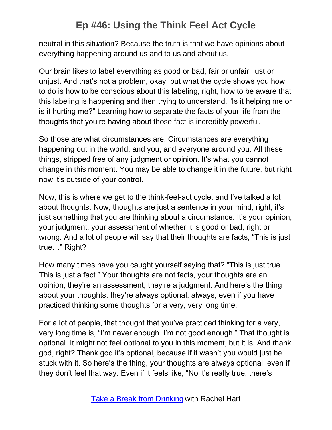neutral in this situation? Because the truth is that we have opinions about everything happening around us and to us and about us.

Our brain likes to label everything as good or bad, fair or unfair, just or unjust. And that's not a problem, okay, but what the cycle shows you how to do is how to be conscious about this labeling, right, how to be aware that this labeling is happening and then trying to understand, "Is it helping me or is it hurting me?" Learning how to separate the facts of your life from the thoughts that you're having about those fact is incredibly powerful.

So those are what circumstances are. Circumstances are everything happening out in the world, and you, and everyone around you. All these things, stripped free of any judgment or opinion. It's what you cannot change in this moment. You may be able to change it in the future, but right now it's outside of your control.

Now, this is where we get to the think-feel-act cycle, and I've talked a lot about thoughts. Now, thoughts are just a sentence in your mind, right, it's just something that you are thinking about a circumstance. It's your opinion, your judgment, your assessment of whether it is good or bad, right or wrong. And a lot of people will say that their thoughts are facts, "This is just true…" Right?

How many times have you caught yourself saying that? "This is just true. This is just a fact." Your thoughts are not facts, your thoughts are an opinion; they're an assessment, they're a judgment. And here's the thing about your thoughts: they're always optional, always; even if you have practiced thinking some thoughts for a very, very long time.

For a lot of people, that thought that you've practiced thinking for a very, very long time is, "I'm never enough. I'm not good enough." That thought is optional. It might not feel optional to you in this moment, but it is. And thank god, right? Thank god it's optional, because if it wasn't you would just be stuck with it. So here's the thing, your thoughts are always optional, even if they don't feel that way. Even if it feels like, "No it's really true, there's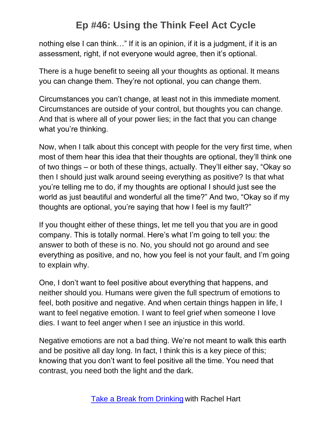nothing else I can think…" If it is an opinion, if it is a judgment, if it is an assessment, right, if not everyone would agree, then it's optional.

There is a huge benefit to seeing all your thoughts as optional. It means you can change them. They're not optional, you can change them.

Circumstances you can't change, at least not in this immediate moment. Circumstances are outside of your control, but thoughts you can change. And that is where all of your power lies; in the fact that you can change what you're thinking.

Now, when I talk about this concept with people for the very first time, when most of them hear this idea that their thoughts are optional, they'll think one of two things – or both of these things, actually. They'll either say, "Okay so then I should just walk around seeing everything as positive? Is that what you're telling me to do, if my thoughts are optional I should just see the world as just beautiful and wonderful all the time?" And two, "Okay so if my thoughts are optional, you're saying that how I feel is my fault?"

If you thought either of these things, let me tell you that you are in good company. This is totally normal. Here's what I'm going to tell you: the answer to both of these is no. No, you should not go around and see everything as positive, and no, how you feel is not your fault, and I'm going to explain why.

One, I don't want to feel positive about everything that happens, and neither should you. Humans were given the full spectrum of emotions to feel, both positive and negative. And when certain things happen in life, I want to feel negative emotion. I want to feel grief when someone I love dies. I want to feel anger when I see an injustice in this world.

Negative emotions are not a bad thing. We're not meant to walk this earth and be positive all day long. In fact, I think this is a key piece of this; knowing that you don't want to feel positive all the time. You need that contrast, you need both the light and the dark.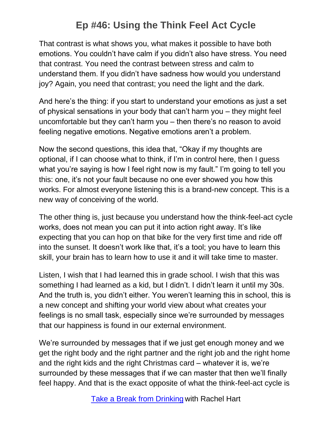That contrast is what shows you, what makes it possible to have both emotions. You couldn't have calm if you didn't also have stress. You need that contrast. You need the contrast between stress and calm to understand them. If you didn't have sadness how would you understand joy? Again, you need that contrast; you need the light and the dark.

And here's the thing: if you start to understand your emotions as just a set of physical sensations in your body that can't harm you – they might feel uncomfortable but they can't harm you – then there's no reason to avoid feeling negative emotions. Negative emotions aren't a problem.

Now the second questions, this idea that, "Okay if my thoughts are optional, if I can choose what to think, if I'm in control here, then I guess what you're saying is how I feel right now is my fault." I'm going to tell you this: one, it's not your fault because no one ever showed you how this works. For almost everyone listening this is a brand-new concept. This is a new way of conceiving of the world.

The other thing is, just because you understand how the think-feel-act cycle works, does not mean you can put it into action right away. It's like expecting that you can hop on that bike for the very first time and ride off into the sunset. It doesn't work like that, it's a tool; you have to learn this skill, your brain has to learn how to use it and it will take time to master.

Listen, I wish that I had learned this in grade school. I wish that this was something I had learned as a kid, but I didn't. I didn't learn it until my 30s. And the truth is, you didn't either. You weren't learning this in school, this is a new concept and shifting your world view about what creates your feelings is no small task, especially since we're surrounded by messages that our happiness is found in our external environment.

We're surrounded by messages that if we just get enough money and we get the right body and the right partner and the right job and the right home and the right kids and the right Christmas card – whatever it is, we're surrounded by these messages that if we can master that then we'll finally feel happy. And that is the exact opposite of what the think-feel-act cycle is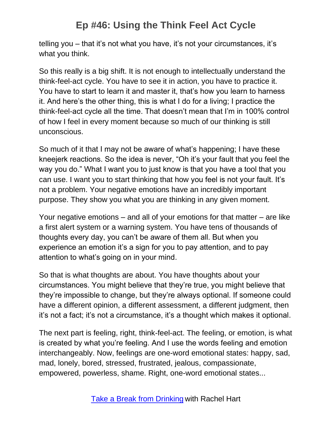telling you – that it's not what you have, it's not your circumstances, it's what you think.

So this really is a big shift. It is not enough to intellectually understand the think-feel-act cycle. You have to see it in action, you have to practice it. You have to start to learn it and master it, that's how you learn to harness it. And here's the other thing, this is what I do for a living; I practice the think-feel-act cycle all the time. That doesn't mean that I'm in 100% control of how I feel in every moment because so much of our thinking is still unconscious.

So much of it that I may not be aware of what's happening; I have these kneejerk reactions. So the idea is never, "Oh it's your fault that you feel the way you do." What I want you to just know is that you have a tool that you can use. I want you to start thinking that how you feel is not your fault. It's not a problem. Your negative emotions have an incredibly important purpose. They show you what you are thinking in any given moment.

Your negative emotions – and all of your emotions for that matter – are like a first alert system or a warning system. You have tens of thousands of thoughts every day, you can't be aware of them all. But when you experience an emotion it's a sign for you to pay attention, and to pay attention to what's going on in your mind.

So that is what thoughts are about. You have thoughts about your circumstances. You might believe that they're true, you might believe that they're impossible to change, but they're always optional. If someone could have a different opinion, a different assessment, a different judgment, then it's not a fact; it's not a circumstance, it's a thought which makes it optional.

The next part is feeling, right, think-feel-act. The feeling, or emotion, is what is created by what you're feeling. And I use the words feeling and emotion interchangeably. Now, feelings are one-word emotional states: happy, sad, mad, lonely, bored, stressed, frustrated, jealous, compassionate, empowered, powerless, shame. Right, one-word emotional states...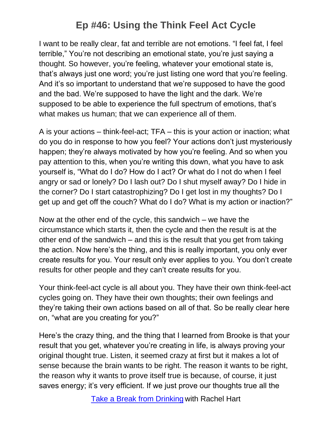I want to be really clear, fat and terrible are not emotions. "I feel fat, I feel terrible," You're not describing an emotional state, you're just saying a thought. So however, you're feeling, whatever your emotional state is, that's always just one word; you're just listing one word that you're feeling. And it's so important to understand that we're supposed to have the good and the bad. We're supposed to have the light and the dark. We're supposed to be able to experience the full spectrum of emotions, that's what makes us human; that we can experience all of them.

A is your actions – think-feel-act; TFA – this is your action or inaction; what do you do in response to how you feel? Your actions don't just mysteriously happen; they're always motivated by how you're feeling. And so when you pay attention to this, when you're writing this down, what you have to ask yourself is, "What do I do? How do I act? Or what do I not do when I feel angry or sad or lonely? Do I lash out? Do I shut myself away? Do I hide in the corner? Do I start catastrophizing? Do I get lost in my thoughts? Do I get up and get off the couch? What do I do? What is my action or inaction?"

Now at the other end of the cycle, this sandwich – we have the circumstance which starts it, then the cycle and then the result is at the other end of the sandwich – and this is the result that you get from taking the action. Now here's the thing, and this is really important, you only ever create results for you. Your result only ever applies to you. You don't create results for other people and they can't create results for you.

Your think-feel-act cycle is all about you. They have their own think-feel-act cycles going on. They have their own thoughts; their own feelings and they're taking their own actions based on all of that. So be really clear here on, "what are you creating for you?"

Here's the crazy thing, and the thing that I learned from Brooke is that your result that you get, whatever you're creating in life, is always proving your original thought true. Listen, it seemed crazy at first but it makes a lot of sense because the brain wants to be right. The reason it wants to be right, the reason why it wants to prove itself true is because, of course, it just saves energy; it's very efficient. If we just prove our thoughts true all the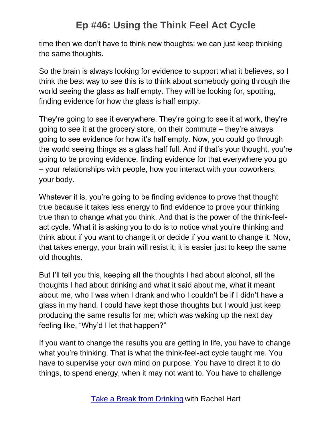time then we don't have to think new thoughts; we can just keep thinking the same thoughts.

So the brain is always looking for evidence to support what it believes, so I think the best way to see this is to think about somebody going through the world seeing the glass as half empty. They will be looking for, spotting, finding evidence for how the glass is half empty.

They're going to see it everywhere. They're going to see it at work, they're going to see it at the grocery store, on their commute – they're always going to see evidence for how it's half empty. Now, you could go through the world seeing things as a glass half full. And if that's your thought, you're going to be proving evidence, finding evidence for that everywhere you go – your relationships with people, how you interact with your coworkers, your body.

Whatever it is, you're going to be finding evidence to prove that thought true because it takes less energy to find evidence to prove your thinking true than to change what you think. And that is the power of the think-feelact cycle. What it is asking you to do is to notice what you're thinking and think about if you want to change it or decide if you want to change it. Now, that takes energy, your brain will resist it; it is easier just to keep the same old thoughts.

But I'll tell you this, keeping all the thoughts I had about alcohol, all the thoughts I had about drinking and what it said about me, what it meant about me, who I was when I drank and who I couldn't be if I didn't have a glass in my hand. I could have kept those thoughts but I would just keep producing the same results for me; which was waking up the next day feeling like, "Why'd I let that happen?"

If you want to change the results you are getting in life, you have to change what you're thinking. That is what the think-feel-act cycle taught me. You have to supervise your own mind on purpose. You have to direct it to do things, to spend energy, when it may not want to. You have to challenge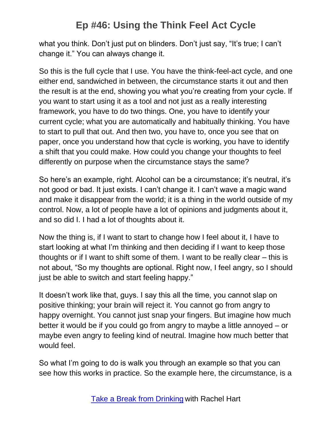what you think. Don't just put on blinders. Don't just say, "It's true; I can't change it." You can always change it.

So this is the full cycle that I use. You have the think-feel-act cycle, and one either end, sandwiched in between, the circumstance starts it out and then the result is at the end, showing you what you're creating from your cycle. If you want to start using it as a tool and not just as a really interesting framework, you have to do two things. One, you have to identify your current cycle; what you are automatically and habitually thinking. You have to start to pull that out. And then two, you have to, once you see that on paper, once you understand how that cycle is working, you have to identify a shift that you could make. How could you change your thoughts to feel differently on purpose when the circumstance stays the same?

So here's an example, right. Alcohol can be a circumstance; it's neutral, it's not good or bad. It just exists. I can't change it. I can't wave a magic wand and make it disappear from the world; it is a thing in the world outside of my control. Now, a lot of people have a lot of opinions and judgments about it, and so did I. I had a lot of thoughts about it.

Now the thing is, if I want to start to change how I feel about it, I have to start looking at what I'm thinking and then deciding if I want to keep those thoughts or if I want to shift some of them. I want to be really clear – this is not about, "So my thoughts are optional. Right now, I feel angry, so I should just be able to switch and start feeling happy."

It doesn't work like that, guys. I say this all the time, you cannot slap on positive thinking; your brain will reject it. You cannot go from angry to happy overnight. You cannot just snap your fingers. But imagine how much better it would be if you could go from angry to maybe a little annoyed – or maybe even angry to feeling kind of neutral. Imagine how much better that would feel.

So what I'm going to do is walk you through an example so that you can see how this works in practice. So the example here, the circumstance, is a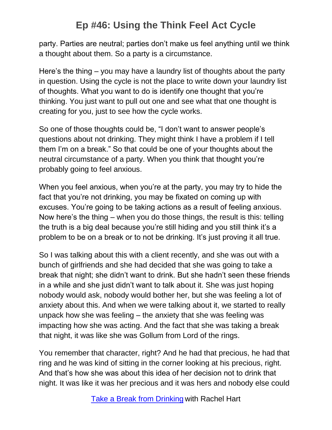party. Parties are neutral; parties don't make us feel anything until we think a thought about them. So a party is a circumstance.

Here's the thing – you may have a laundry list of thoughts about the party in question. Using the cycle is not the place to write down your laundry list of thoughts. What you want to do is identify one thought that you're thinking. You just want to pull out one and see what that one thought is creating for you, just to see how the cycle works.

So one of those thoughts could be, "I don't want to answer people's questions about not drinking. They might think I have a problem if I tell them I'm on a break." So that could be one of your thoughts about the neutral circumstance of a party. When you think that thought you're probably going to feel anxious.

When you feel anxious, when you're at the party, you may try to hide the fact that you're not drinking, you may be fixated on coming up with excuses. You're going to be taking actions as a result of feeling anxious. Now here's the thing – when you do those things, the result is this: telling the truth is a big deal because you're still hiding and you still think it's a problem to be on a break or to not be drinking. It's just proving it all true.

So I was talking about this with a client recently, and she was out with a bunch of girlfriends and she had decided that she was going to take a break that night; she didn't want to drink. But she hadn't seen these friends in a while and she just didn't want to talk about it. She was just hoping nobody would ask, nobody would bother her, but she was feeling a lot of anxiety about this. And when we were talking about it, we started to really unpack how she was feeling – the anxiety that she was feeling was impacting how she was acting. And the fact that she was taking a break that night, it was like she was Gollum from Lord of the rings.

You remember that character, right? And he had that precious, he had that ring and he was kind of sitting in the corner looking at his precious, right. And that's how she was about this idea of her decision not to drink that night. It was like it was her precious and it was hers and nobody else could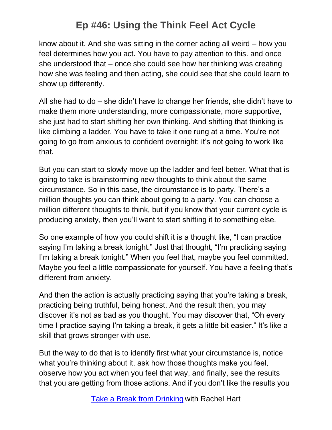know about it. And she was sitting in the corner acting all weird – how you feel determines how you act. You have to pay attention to this. and once she understood that – once she could see how her thinking was creating how she was feeling and then acting, she could see that she could learn to show up differently.

All she had to do – she didn't have to change her friends, she didn't have to make them more understanding, more compassionate, more supportive, she just had to start shifting her own thinking. And shifting that thinking is like climbing a ladder. You have to take it one rung at a time. You're not going to go from anxious to confident overnight; it's not going to work like that.

But you can start to slowly move up the ladder and feel better. What that is going to take is brainstorming new thoughts to think about the same circumstance. So in this case, the circumstance is to party. There's a million thoughts you can think about going to a party. You can choose a million different thoughts to think, but if you know that your current cycle is producing anxiety, then you'll want to start shifting it to something else.

So one example of how you could shift it is a thought like, "I can practice saying I'm taking a break tonight." Just that thought, "I'm practicing saying I'm taking a break tonight." When you feel that, maybe you feel committed. Maybe you feel a little compassionate for yourself. You have a feeling that's different from anxiety.

And then the action is actually practicing saying that you're taking a break, practicing being truthful, being honest. And the result then, you may discover it's not as bad as you thought. You may discover that, "Oh every time I practice saying I'm taking a break, it gets a little bit easier." It's like a skill that grows stronger with use.

But the way to do that is to identify first what your circumstance is, notice what you're thinking about it, ask how those thoughts make you feel, observe how you act when you feel that way, and finally, see the results that you are getting from those actions. And if you don't like the results you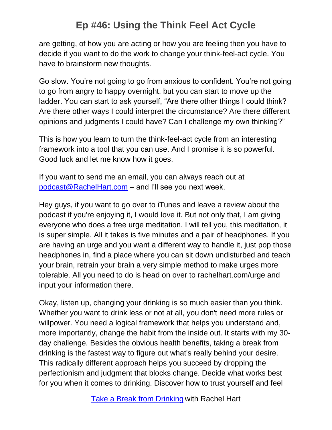are getting, of how you are acting or how you are feeling then you have to decide if you want to do the work to change your think-feel-act cycle. You have to brainstorm new thoughts.

Go slow. You're not going to go from anxious to confident. You're not going to go from angry to happy overnight, but you can start to move up the ladder. You can start to ask yourself, "Are there other things I could think? Are there other ways I could interpret the circumstance? Are there different opinions and judgments I could have? Can I challenge my own thinking?"

This is how you learn to turn the think-feel-act cycle from an interesting framework into a tool that you can use. And I promise it is so powerful. Good luck and let me know how it goes.

If you want to send me an email, you can always reach out at [podcast@RachelHart.com](mailto:podcast@RachelHart.com) – and I'll see you next week.

Hey guys, if you want to go over to iTunes and leave a review about the podcast if you're enjoying it, I would love it. But not only that, I am giving everyone who does a free urge meditation. I will tell you, this meditation, it is super simple. All it takes is five minutes and a pair of headphones. If you are having an urge and you want a different way to handle it, just pop those headphones in, find a place where you can sit down undisturbed and teach your brain, retrain your brain a very simple method to make urges more tolerable. All you need to do is head on over to rachelhart.com/urge and input your information there.

Okay, listen up, changing your drinking is so much easier than you think. Whether you want to drink less or not at all, you don't need more rules or willpower. You need a logical framework that helps you understand and, more importantly, change the habit from the inside out. It starts with my 30 day challenge. Besides the obvious health benefits, taking a break from drinking is the fastest way to figure out what's really behind your desire. This radically different approach helps you succeed by dropping the perfectionism and judgment that blocks change. Decide what works best for you when it comes to drinking. Discover how to trust yourself and feel